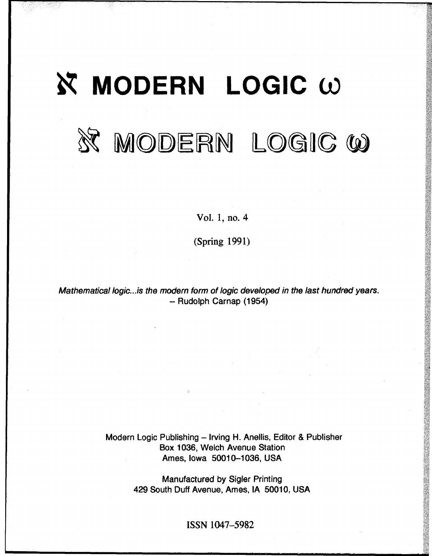# **X MODERN LOGIC ω X MODERN LOGIC W**

Vol. 1, no. 4

(Spring 1991)

Mathematical logic...is the modern form of logic developed in the last hundred years. - Rudolph Carnap (1954)

> Modern Logic Publishing - Irving H. Anellis, Editor & Publisher Box 1036, Welch Avenue Station Ames, Iowa 50010-1036, USA

Manufactured by Sigler Printing 429 South Duff Avenue, Ames, IA 50010, USA

ISSN 1047-5982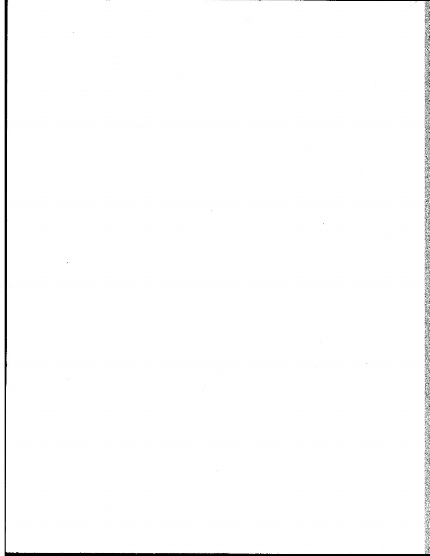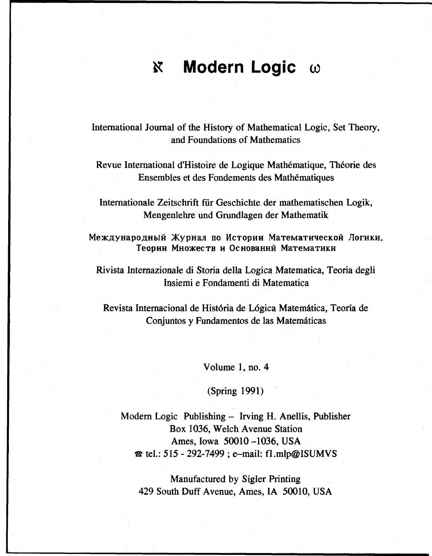*N***odern Logic ω** 

International Journal of the History of Mathematical Logic, Set Theory, and Foundations of Mathematics

Revue International d'Histoire de Logique Mathématique, Théorie des Ensembles et des Fondements des Mathématiques

Internationale Zeitschrift für Geschichte der mathematischen Logik, Mengenlehre und Grundlagen der Mathematik

Международный Журнал по Истории Математической Логики, Теории Множеств и Оснований Математики

Rivista Internazionale di Storia della Logica Matematica, Teoria degli Insiemi e Fondamenti di Matematica

Revista Internacional de História de Lógica Matemática, Teoría de Conjuntos y Fundamentos de las Matemáticas

Volume 1, no. 4

(Spring 1991)

Modern Logic Publishing - Irving H. Anellis, Publisher Box 1036, Welch Avenue Station Ames, Iowa 50010-1036, USA @ tel.: 515 - 292-7499 ; e-mail: fl.mlp@ISUMVS

Manufactured by Sigler Printing 429 South Duff Avenue, Ames, IA 50010, USA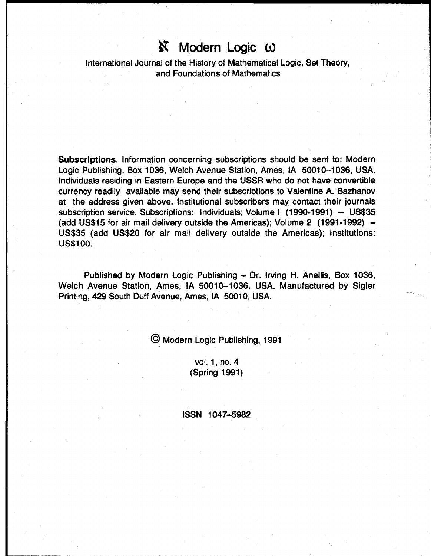## $\aleph$  Modern Logic  $\omega$

## International Journal of the History of Mathematical Logic, Set Theory, and Foundations of Mathematics

Subscriptions. Information concerning subscriptions should be sent to: Modern Logic Publishing, Box 1036, Welch Avenue Station, Ames, IA 50010-1036, USA. Individuals residing in Eastern Europe and the USSR who do not have convertible currency readily available may send their subscriptions to Valentine A. Bazhanov at the address given above. Institutional subscribers may contact their journals subscription service. Subscriptions: Individuals: Volume I (1990-1991) - US\$35 (add US\$15 for air mail delivery outside the Americas); Volume 2  $(1991-1992) -$ US\$35 (add US\$20 for air mail delivery outside the Americas); Institutions: US\$100.

Published by Modern Logic Publishing - Dr. Irving H. Anellis, Box 1036, Welch Avenue Station, Ames, IA 50010-1036, USA. Manufactured by Sigler Printing, 429 South Duff Avenue, Ames, IA 50010, USA.

© Modern Logic Publishing, 1991

vol. 1, no. 4 (Spring 1991)

ISSN 1047-5982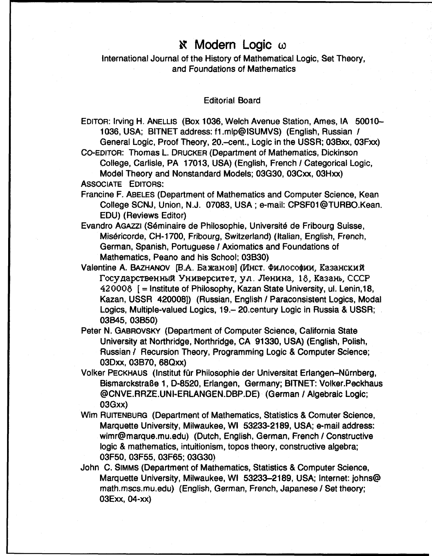## *κ* Modern Logic ω

## International Journal of the History of Mathematical Logic, Set Theory, and Foundations of Mathematics

#### Editorial Board

EDITOR: Irving H. ANELLIS (BOX 1036, Welch Avenue Station, Ames, IA 50010 1036, USA; BITNET address: f1.mlp@ISUMVS) (English, Russian / General Logic, Proof Theory, 20.-cent., Logic in the USSR; 03Bxx, 03Fxx)

CO-EDITOR: Thomas L. DRUCKER (Department of Mathematics, Dickinson College, Carlisle, PA 17013, USA) (English, French / Categorical Logic, Model Theory and Nonstandard Models; 03G30, ОЗСхх, ОЗНхх) ASSOCIATE EDITORS:

- Francine F. ABELES (Department of Mathematics and Computer Science, Kean College SCNJ, Union, N.J. 07083, USA ; e-mail: CPSF01@TURBO.Kean. EDU) (Reviews Editor)
- Evandro AGAZZI (Séminaire de Philosophie, Université de Fribourg Suisse, Miséricorde, CH-1700, Fribourg, Switzerland) (Italian, English, French, German, Spanish, Portuguese / Axiomatics and Foundations of Mathematics, Peano and his School; 03B30)
- Valentine A. BAZHANOV [B.A. Бажанов] (Инст. Философии, Казански Государственный Университет, ул. Ленина, 18, Казань, СССР 42000Ô [ = Institute of Philosophy, Kazan State University, ul. Lenin,18, Kazan, USSR 420008]) (Russian, English / Paraconsistent Logics, Modal Logics, Multiple-valued Logics, 19. - 20. century Logic in Russia & USSR; 03B45, 03B50)
- Peter N. GABROVSKY (Department of Computer Science, California State University at Northridge, Northridge, CA 91330, USA) (English, Polish, Russian / Recursion Theory, Programming Logic & Computer Science; 03DXX, 03B70, 68Qxx)
- Volker PECKHAUS (Institut für Philosophie der Universität Erlangen-Nürnberg, Bismarckstraße 1, D-8520, Erlangen, Germany; BITNET: Volker.Peckhaus ©CNVE.RRZE.UNI-ERLANGEN.DBP.DE) (German / Algebraic Logic; 03Gxx)
- Wim RUITENBURG (Department of Mathematics, Statistics & Comuter Science, Marquette University, Milwaukee, Wl 53233-2189, USA; e-mail address: wimr@marque.mu.edu) (Dutch, English, German, French / Constructive logic & mathematics, intuitionism, topos theory, constructive algebra; 03F50, 03F55, 03F65; 03G30)
- John C, SIMMS (Department of Mathematics, Statistics & Computer Science, Marquette University, Milwaukee, Wl 53233-2189, USA; Internet: johns@ math.mscs.mu.edu) (English, German, French, Japanese / Set theory; ОЗЕхх, 04-хх)